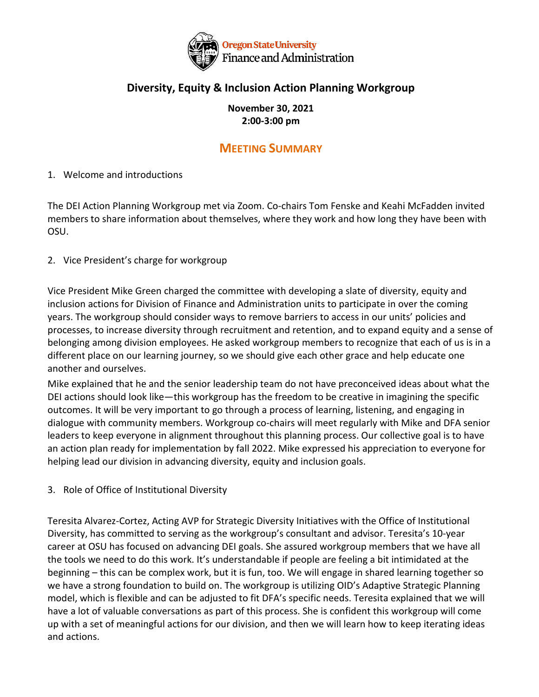

## **Diversity, Equity & Inclusion Action Planning Workgroup**

**November 30, 2021 2:00-3:00 pm**

# **MEETING SUMMARY**

### 1. Welcome and introductions

The DEI Action Planning Workgroup met via Zoom. Co-chairs Tom Fenske and Keahi McFadden invited members to share information about themselves, where they work and how long they have been with OSU.

#### 2. Vice President's charge for workgroup

Vice President Mike Green charged the committee with developing a slate of diversity, equity and inclusion actions for Division of Finance and Administration units to participate in over the coming years. The workgroup should consider ways to remove barriers to access in our units' policies and processes, to increase diversity through recruitment and retention, and to expand equity and a sense of belonging among division employees. He asked workgroup members to recognize that each of us is in a different place on our learning journey, so we should give each other grace and help educate one another and ourselves.

Mike explained that he and the senior leadership team do not have preconceived ideas about what the DEI actions should look like—this workgroup has the freedom to be creative in imagining the specific outcomes. It will be very important to go through a process of learning, listening, and engaging in dialogue with community members. Workgroup co-chairs will meet regularly with Mike and DFA senior leaders to keep everyone in alignment throughout this planning process. Our collective goal is to have an action plan ready for implementation by fall 2022. Mike expressed his appreciation to everyone for helping lead our division in advancing diversity, equity and inclusion goals.

3. Role of Office of Institutional Diversity

Teresita Alvarez-Cortez, Acting AVP for Strategic Diversity Initiatives with the Office of Institutional Diversity, has committed to serving as the workgroup's consultant and advisor. Teresita's 10-year career at OSU has focused on advancing DEI goals. She assured workgroup members that we have all the tools we need to do this work. It's understandable if people are feeling a bit intimidated at the beginning – this can be complex work, but it is fun, too. We will engage in shared learning together so we have a strong foundation to build on. The workgroup is utilizing OID's Adaptive Strategic Planning model, which is flexible and can be adjusted to fit DFA's specific needs. Teresita explained that we will have a lot of valuable conversations as part of this process. She is confident this workgroup will come up with a set of meaningful actions for our division, and then we will learn how to keep iterating ideas and actions.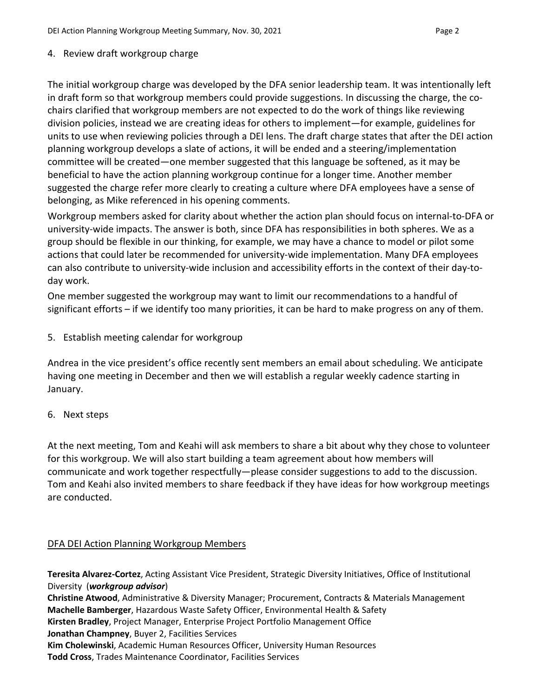4. Review draft workgroup charge

The initial workgroup charge was developed by the DFA senior leadership team. It was intentionally left in draft form so that workgroup members could provide suggestions. In discussing the charge, the cochairs clarified that workgroup members are not expected to do the work of things like reviewing division policies, instead we are creating ideas for others to implement—for example, guidelines for units to use when reviewing policies through a DEI lens. The draft charge states that after the DEI action planning workgroup develops a slate of actions, it will be ended and a steering/implementation committee will be created—one member suggested that this language be softened, as it may be beneficial to have the action planning workgroup continue for a longer time. Another member suggested the charge refer more clearly to creating a culture where DFA employees have a sense of belonging, as Mike referenced in his opening comments.

Workgroup members asked for clarity about whether the action plan should focus on internal-to-DFA or university-wide impacts. The answer is both, since DFA has responsibilities in both spheres. We as a group should be flexible in our thinking, for example, we may have a chance to model or pilot some actions that could later be recommended for university-wide implementation. Many DFA employees can also contribute to university-wide inclusion and accessibility efforts in the context of their day-today work.

One member suggested the workgroup may want to limit our recommendations to a handful of significant efforts – if we identify too many priorities, it can be hard to make progress on any of them.

5. Establish meeting calendar for workgroup

Andrea in the vice president's office recently sent members an email about scheduling. We anticipate having one meeting in December and then we will establish a regular weekly cadence starting in January.

6. Next steps

At the next meeting, Tom and Keahi will ask members to share a bit about why they chose to volunteer for this workgroup. We will also start building a team agreement about how members will communicate and work together respectfully—please consider suggestions to add to the discussion. Tom and Keahi also invited members to share feedback if they have ideas for how workgroup meetings are conducted.

#### DFA DEI Action Planning Workgroup Members

**Teresita Alvarez-Cortez**, Acting Assistant Vice President, Strategic Diversity Initiatives, Office of Institutional Diversity (*workgroup advisor*) **Christine Atwood**, Administrative & Diversity Manager; Procurement, Contracts & Materials Management **Machelle Bamberger**, Hazardous Waste Safety Officer, Environmental Health & Safety **Kirsten Bradley**, Project Manager, Enterprise Project Portfolio Management Office **Jonathan Champney**, Buyer 2, Facilities Services **Kim Cholewinski**, Academic Human Resources Officer, University Human Resources **Todd Cross**, Trades Maintenance Coordinator, Facilities Services